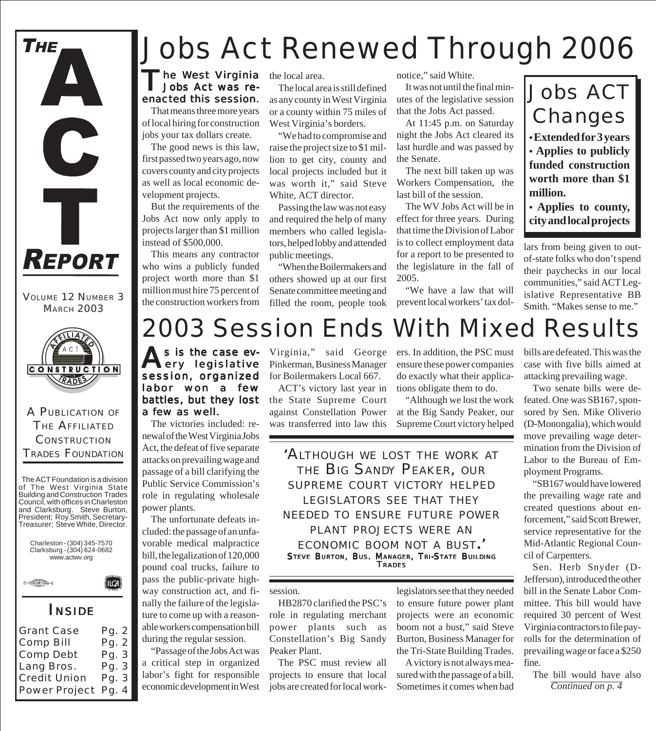

VOLUME 12 NUMBER 3 MARCH 2003



A PUBLICATION OF THE AFFILIATED **CONSTRUCTION** TRADES FOUNDATION

The ACT Foundation is a division of The West Virginia State Building and Construction Trades Council, with offices in Charleston and Clarksburg. Steve Burton, President; Roy Smith, Secretary-Treasurer; Steve White, Director.



Power Project Pg. 4

Credit Union

Pg. 3

# *Jobs Act Renewed Through 2006*

### The West Virginia the local area.<br>
Jobs Act was re-<br>
The local area Jobs Act was reenacted this session.

That means three more years of local hiring for construction jobs your tax dollars create.

The good news is this law, first passed two years ago, now covers county and city projects as well as local economic development projects.

But the requirements of the Jobs Act now only apply to projects larger than \$1 million instead of \$500,000.

This means any contractor who wins a publicly funded project worth more than \$1 million must hire 75 percent of the construction workers from

The local area is still defined as any county in West Virginia or a county within 75 miles of West Virginia's borders.

"We had to compromise and raise the project size to \$1 million to get city, county and local projects included but it was worth it," said Steve White, ACT director.

Passing the law was not easy and required the help of many members who called legislators, helped lobby and attended public meetings.

"When the Boilermakers and others showed up at our first Senate committee meeting and filled the room, people took notice," said White.

It was not until the final minutes of the legislative session that the Jobs Act passed.

At 11:45 p.m. on Saturday night the Jobs Act cleared its last hurdle and was passed by the Senate.

The next bill taken up was Workers Compensation, the last bill of the session.

The WV Jobs Act will be in effect for three years. During that time the Division of Labor is to collect employment data for a report to be presented to the legislature in the fall of 2005.

"We have a law that will prevent local workers' tax dol-

### Jobs ACT Changes

**• Extended for 3 years**

**• Applies to publicly funded construction worth more than \$1 million.**

**• Applies to county, city and local projects**

lars from being given to outof-state folks who don't spend their paychecks in our local communities," said ACT Legislative Representative BB Smith. "Makes sense to me."

# 2003 Session Ends With Mixed Results

As is the case every legislative session, organized labor won a few battles, but they lost a few as well.

The victories included: renewal of the West Virginia Jobs Act, the defeat of five separate attacks on prevailing wage and passage of a bill clarifying the Public Service Commission's role in regulating wholesale power plants.

The unfortunate defeats included: the passage of an unfavorable medical malpractice bill, the legalization of 120,000 pound coal trucks, failure to pass the public-private highway construction act, and finally the failure of the legislature to come up with a reasonable workers compensation bill during the regular session.

"Passage of the Jobs Act was a critical step in organized labor's fight for responsible economic development in West Virginia," said George Pinkerman, Business Manager for Boilermakers Local 667.

ACT's victory last year in the State Supreme Court against Constellation Power was transferred into law this

ers. In addition, the PSC must ensure these power companies do exactly what their applications obligate them to do.

"Although we lost the work at the Big Sandy Peaker, our Supreme Court victory helped

*'ALTHOUGH WE LOST THE WORK AT THE BIG SANDY PEAKER, OUR SUPREME COURT VICTORY HELPED LEGISLATORS SEE THAT THEY NEEDED TO ENSURE FUTURE POWER PLANT PROJECTS WERE AN ECONOMIC BOOM NOT <sup>A</sup> BUST.'* STEVE BURTON, BUS. MANAGER, TRI-STATE BUILDING **TRADES** 

#### session.

HB2870 clarified the PSC's role in regulating merchant power plants such as Constellation's Big Sandy Peaker Plant.

The PSC must review all projects to ensure that local jobs are created for local work-

legislators see that they needed to ensure future power plant projects were an economic boom not a bust," said Steve Burton, Business Manager for the Tri-State Building Trades.

A victory is not always measured with the passage of a bill. Sometimes it comes when bad

bills are defeated. This was the case with five bills aimed at attacking prevailing wage.

Two senate bills were defeated. One was SB167, sponsored by Sen. Mike Oliverio (D-Monongalia), which would move prevailing wage determination from the Division of Labor to the Bureau of Employment Programs.

"SB167 would have lowered the prevailing wage rate and created questions about enforcement," said Scott Brewer, service representative for the Mid-Atlantic Regional Council of Carpenters.

Sen. Herb Snyder (D-Jefferson), introduced the other bill in the Senate Labor Committee. This bill would have required 30 percent of West Virginia contractors to file payrolls for the determination of prevailing wage or face a \$250 fine.

The bill would have also *Continued on p. 4*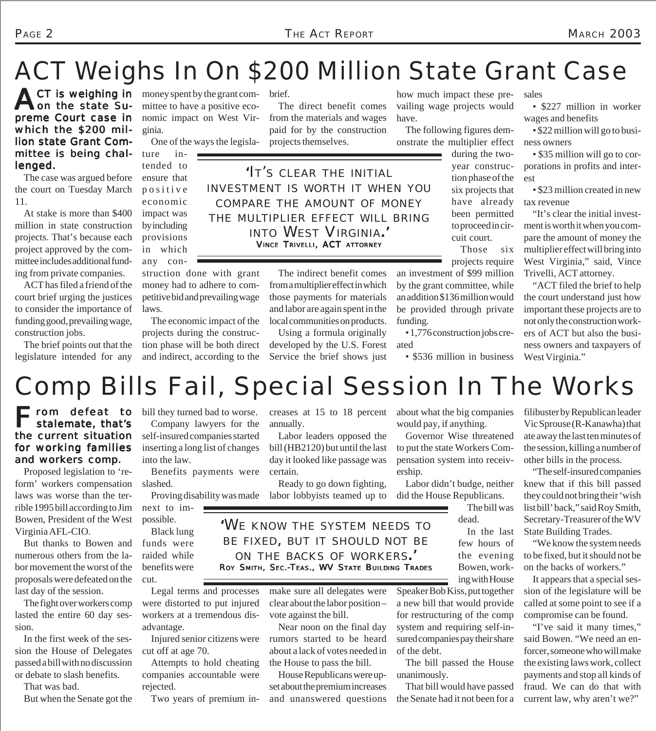# ACT Weighs In On \$200 Million State Grant Case

**ACT is weighing in** money spent by the grant com-<br>non the state Su-<br>mittee to have a positive ecoon the state Supreme Court case in which the \$200 million state Grant Committee is being challenged.

The case was argued before the court on Tuesday March 11.

At stake is more than \$400 million in state construction projects. That's because each project approved by the committee includes additional funding from private companies.

ACT has filed a friend of the court brief urging the justices to consider the importance of funding good, prevailing wage, construction jobs.

The brief points out that the legislature intended for any

mittee to have a positive economic impact on West Virginia.

One of the ways the legisla-

tended to ensure that positive economic impact was by including provisions in which any con-

ture in-

struction done with grant money had to adhere to competitive bid and prevailing wage laws.

The economic impact of the projects during the construction phase will be both direct and indirect, according to the

brief.

The direct benefit comes from the materials and wages paid for by the construction projects themselves.

*'IT'S CLEAR THE INITIAL INVESTMENT IS WORTH IT WHEN YOU COMPARE THE AMOUNT OF MONEY THE MULTIPLIER EFFECT WILL BRING INTO WEST VIRGINIA.'* VINCE TRIVELLI, ACT ATTORNEY

> The indirect benefit comes from a multiplier effect in which those payments for materials and labor are again spent in the local communities on products.

Using a formula originally developed by the U.S. Forest Service the brief shows just

how much impact these prevailing wage projects would have.

The following figures demonstrate the multiplier effect

an investment of \$99 million by the grant committee, while an addition \$136 million would be provided through private

• 1,776 construction jobs cre-

• \$536 million in business

funding.

ated

during the twoyear construction phase of the six projects that have already been permitted to proceed in circuit court.

Those six projects require

sales

• \$227 million in worker wages and benefits

• \$22 million will go to business owners

• \$35 million will go to corporations in profits and interest

• \$23 million created in new tax revenue

"It's clear the initial investment is worth it when you compare the amount of money the multiplier effect will bring into West Virginia," said, Vince Trivelli, ACT attorney.

"ACT filed the brief to help the court understand just how important these projects are to not only the construction workers of ACT but also the business owners and taxpayers of West Virginia."

*Comp Bills Fail, Special Session In The Works*

#### $\blacksquare$  rom defeat to stalemate, that's the current situation for working families and workers comp.

Proposed legislation to 'reform' workers compensation laws was worse than the terrible 1995 bill according to Jim Bowen, President of the West Virginia AFL-CIO.

But thanks to Bowen and numerous others from the labor movement the worst of the proposals were defeated on the last day of the session.

The fight over workers comp lasted the entire 60 day session.

In the first week of the session the House of Delegates passed a bill with no discussion or debate to slash benefits.

That was bad. But when the Senate got the

bill they turned bad to worse. Company lawyers for the self-insured companies started inserting a long list of changes

into the law. Benefits payments were

slashed.

next to impossible. Black lung

funds were raided while benefits were cut.

Legal terms and processes were distorted to put injured workers at a tremendous disadvantage.

Injured senior citizens were cut off at age 70.

Attempts to hold cheating

companies accountable were rejected.

Two years of premium in-

creases at 15 to 18 percent annually.

Labor leaders opposed the bill (HB2120) but until the last day it looked like passage was certain.

Proving disability was made labor lobbyists teamed up to Ready to go down fighting,

about what the big companies would pay, if anything.

Governor Wise threatened to put the state Workers Compensation system into receivership.

Labor didn't budge, neither did the House Republicans.

The bill was dead.

In the last few hours of the evening Bowen, working with House

Speaker Bob Kiss, put together a new bill that would provide for restructuring of the comp system and requiring self-insured companies pay their share of the debt.

The bill passed the House unanimously.

That bill would have passed the Senate had it not been for a filibuster by Republican leader Vic Sprouse (R-Kanawha) that ate away the last ten minutes of the session, killing a number of other bills in the process.

"The self-insured companies knew that if this bill passed they could not bring their 'wish list bill' back," said Roy Smith, Secretary-Treasurer of the WV State Building Trades.

"We know the system needs to be fixed, but it should not be on the backs of workers."

It appears that a special session of the legislature will be called at some point to see if a compromise can be found.

"I've said it many times," said Bowen. "We need an enforcer, someone who will make the existing laws work, collect payments and stop all kinds of fraud. We can do that with current law, why aren't we?"

*'WE KNOW THE SYSTEM NEEDS TO BE FIXED, BUT IT SHOULD NOT BE ON THE BACKS OF WORKERS.'* ROY SMITH, SEC.-TEAS., WV STATE BUILDING TRADES

clear about the labor position –

Near noon on the final day about a lack of votes needed in the House to pass the bill.

House Republicans were upset about the premium increases and unanswered questions

make sure all delegates were

vote against the bill. rumors started to be heard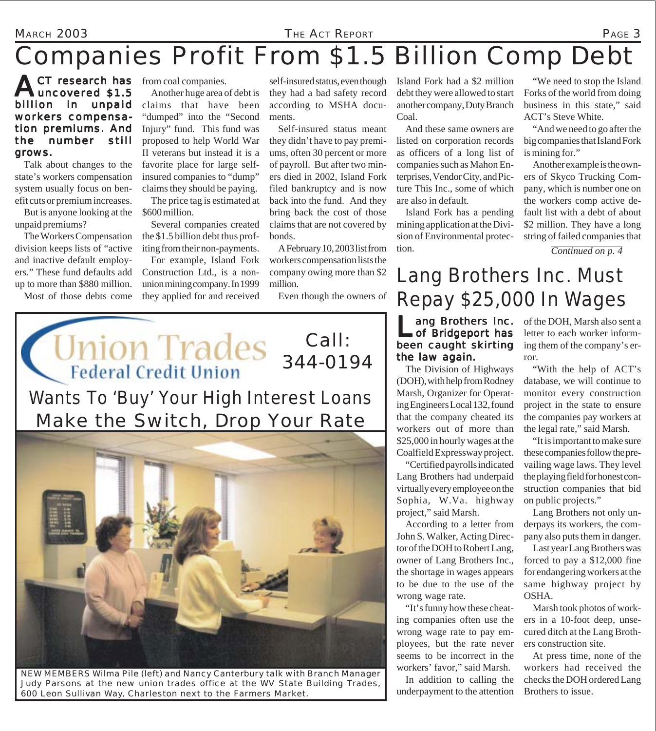#### MARCH 2003 *THE ACT REPORT* PAGE 3

## *Companies Profit From \$1.5 Billion Comp Debt*

**ACT research has** from coal companies.<br> **Auncovered \$1.5** Another huge area of uncovered \$1.5 billion in unpaid workers compensation premiums. And the number still grows.

Talk about changes to the state's workers compensation system usually focus on benefit cuts or premium increases.

But is anyone looking at the unpaid premiums?

The Workers Compensation division keeps lists of "active and inactive default employers." These fund defaults add up to more than \$880 million. Most of those debts come

Another huge area of debt is claims that have been "dumped" into the "Second Injury" fund. This fund was proposed to help World War II veterans but instead it is a favorite place for large selfinsured companies to "dump" claims they should be paying.

The price tag is estimated at \$600 million.

Several companies created the \$1.5 billion debt thus profiting from their non-payments.

For example, Island Fork Construction Ltd., is a nonunion mining company. In 1999 they applied for and received

self-insured status, even though they had a bad safety record according to MSHA documents.

Self-insured status meant they didn't have to pay premiums, often 30 percent or more of payroll. But after two miners died in 2002, Island Fork filed bankruptcy and is now back into the fund. And they bring back the cost of those claims that are not covered by bonds.

A February 10, 2003 list from workers compensation lists the company owing more than \$2 million.

Even though the owners of

Call:

344-0194

Island Fork had a \$2 million debt they were allowed to start Forks of the world from doing another company, Duty Branch Coal.

And these same owners are listed on corporation records as officers of a long list of companies such as Mahon Enterprises, Vendor City, and Picture This Inc., some of which are also in default.

Island Fork has a pending mining application at the Division of Environmental protection.

"We need to stop the Island business in this state," said ACT's Steve White.

"And we need to go after the big companies that Island Fork is mining for."

Another example is the owners of Skyco Trucking Company, which is number one on the workers comp active default list with a debt of about \$2 million. They have a long string of failed companies that

*Continued on p. 4*

Lang Brothers Inc. Must Repay \$25,000 In Wages

ang Brothers Inc. of Bridgeport has been caught skirting the law again.

The Division of Highways (DOH), with help from Rodney Marsh, Organizer for Operating Engineers Local 132, found that the company cheated its workers out of more than \$25,000 in hourly wages at the Coalfield Expressway project.

"Certified payrolls indicated Lang Brothers had underpaid virtually every employee on the Sophia, W.Va. highway project," said Marsh.

According to a letter from John S. Walker, Acting Director of the DOH to Robert Lang, owner of Lang Brothers Inc., the shortage in wages appears to be due to the use of the wrong wage rate.

"It's funny how these cheating companies often use the wrong wage rate to pay employees, but the rate never seems to be incorrect in the workers' favor," said Marsh.

In addition to calling the underpayment to the attention of the DOH, Marsh also sent a letter to each worker informing them of the company's error.

"With the help of ACT's database, we will continue to monitor every construction project in the state to ensure the companies pay workers at the legal rate," said Marsh.

"It is important to make sure these companies follow the prevailing wage laws. They level the playing field for honest construction companies that bid on public projects."

Lang Brothers not only underpays its workers, the company also puts them in danger.

Last year Lang Brothers was forced to pay a \$12,000 fine for endangering workers at the same highway project by OSHA.

Marsh took photos of workers in a 10-foot deep, unsecured ditch at the Lang Brothers construction site.

At press time, none of the workers had received the checks the DOH ordered Lang Brothers to issue.

*NEW MEMBERS Wilma Pile (left) and Nancy Canterbury talk with Branch Manager Judy Parsons at the new union trades office at the WV State Building Trades, 600 Leon Sullivan Way, Charleston next to the Farmers Market.*